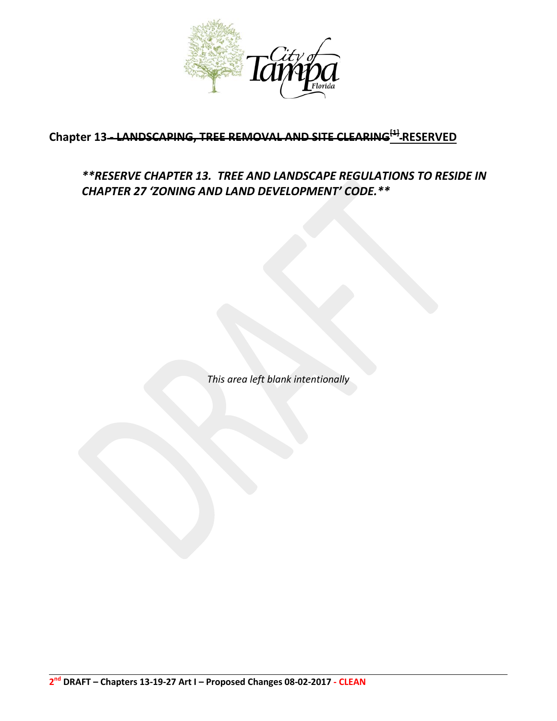

# **Chapter 13 - LANDSCAPING, TREE REMOVAL AND SITE CLEARING[1] RESERVED**

# *\*\*RESERVE CHAPTER 13. TREE AND LANDSCAPE REGULATIONS TO RESIDE IN CHAPTER 27 'ZONING AND LAND DEVELOPMENT' CODE.\*\**

*This area left blank intentionally*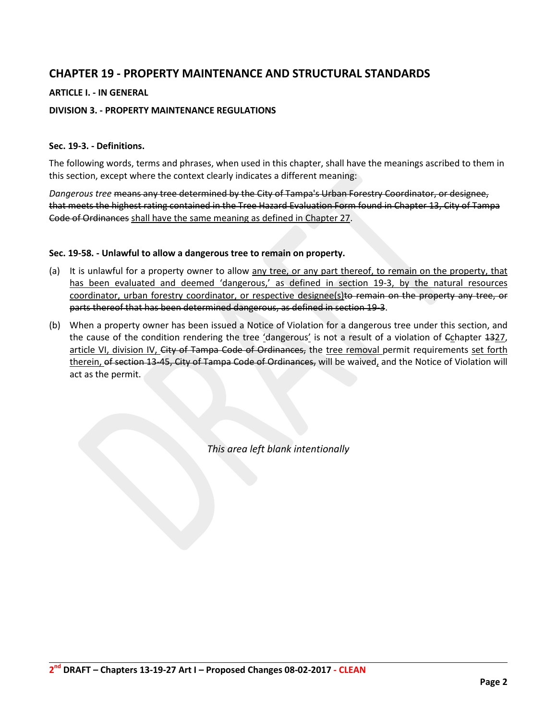### **CHAPTER 19 - PROPERTY MAINTENANCE AND STRUCTURAL STANDARDS**

### **ARTICLE I. - IN GENERAL**

### **DIVISION 3. - PROPERTY MAINTENANCE REGULATIONS**

### **Sec. 19-3. - Definitions.**

The following words, terms and phrases, when used in this chapter, shall have the meanings ascribed to them in this section, except where the context clearly indicates a different meaning:

*Dangerous tree* means any tree determined by the City of Tampa's Urban Forestry Coordinator, or designee, that meets the highest rating contained in the Tree Hazard Evaluation Form found in Chapter 13, City of Tampa Code of Ordinances shall have the same meaning as defined in Chapter 27.

#### **Sec. 19-58. - Unlawful to allow a dangerous tree to remain on property.**

- (a) It is unlawful for a property owner to allow any tree, or any part thereof, to remain on the property, that has been evaluated and deemed 'dangerous,' as defined in section 19-3, by the natural resources coordinator, urban forestry coordinator, or respective designee(s)to remain on the property any tree, or parts thereof that has been determined dangerous, as defined in section 19-3.
- (b) When a property owner has been issued a Notice of Violation for a dangerous tree under this section, and the cause of the condition rendering the tree 'dangerous' is not a result of a violation of  $\epsilon_0$  apter 1327, article VI, division IV, City of Tampa Code of Ordinances, the tree removal permit requirements set forth therein, of section 13-45, City of Tampa Code of Ordinances, will be waived, and the Notice of Violation will act as the permit.

*This area left blank intentionally*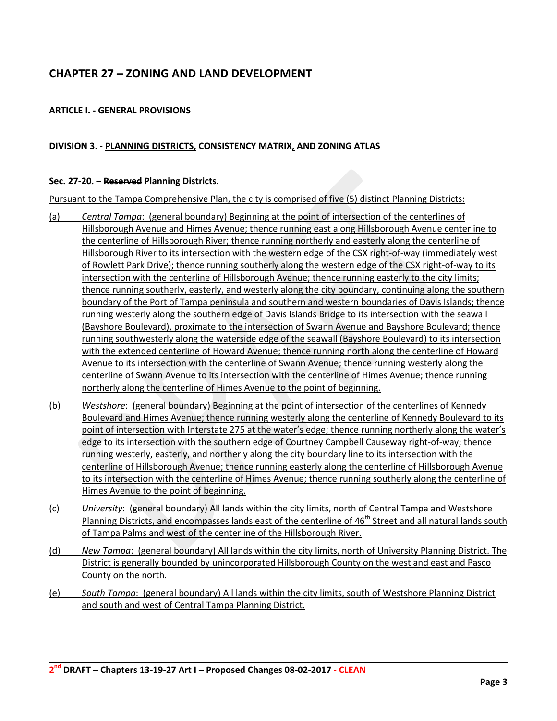## **CHAPTER 27 – ZONING AND LAND DEVELOPMENT**

### **ARTICLE I. - GENERAL PROVISIONS**

### **DIVISION 3. - PLANNING DISTRICTS, CONSISTENCY MATRIX, AND ZONING ATLAS**

#### **Sec. 27-20. – Reserved Planning Districts.**

Pursuant to the Tampa Comprehensive Plan, the city is comprised of five (5) distinct Planning Districts:

- (a) *Central Tampa*: (general boundary) Beginning at the point of intersection of the centerlines of Hillsborough Avenue and Himes Avenue; thence running east along Hillsborough Avenue centerline to the centerline of Hillsborough River; thence running northerly and easterly along the centerline of Hillsborough River to its intersection with the western edge of the CSX right-of-way (immediately west of Rowlett Park Drive); thence running southerly along the western edge of the CSX right-of-way to its intersection with the centerline of Hillsborough Avenue; thence running easterly to the city limits; thence running southerly, easterly, and westerly along the city boundary, continuing along the southern boundary of the Port of Tampa peninsula and southern and western boundaries of Davis Islands; thence running westerly along the southern edge of Davis Islands Bridge to its intersection with the seawall (Bayshore Boulevard), proximate to the intersection of Swann Avenue and Bayshore Boulevard; thence running southwesterly along the waterside edge of the seawall (Bayshore Boulevard) to its intersection with the extended centerline of Howard Avenue; thence running north along the centerline of Howard Avenue to its intersection with the centerline of Swann Avenue; thence running westerly along the centerline of Swann Avenue to its intersection with the centerline of Himes Avenue; thence running northerly along the centerline of Himes Avenue to the point of beginning.
- (b) *Westshore*: (general boundary) Beginning at the point of intersection of the centerlines of Kennedy Boulevard and Himes Avenue; thence running westerly along the centerline of Kennedy Boulevard to its point of intersection with Interstate 275 at the water's edge; thence running northerly along the water's edge to its intersection with the southern edge of Courtney Campbell Causeway right-of-way; thence running westerly, easterly, and northerly along the city boundary line to its intersection with the centerline of Hillsborough Avenue; thence running easterly along the centerline of Hillsborough Avenue to its intersection with the centerline of Himes Avenue; thence running southerly along the centerline of Himes Avenue to the point of beginning.
- (c) *University*: (general boundary) All lands within the city limits, north of Central Tampa and Westshore Planning Districts, and encompasses lands east of the centerline of 46<sup>th</sup> Street and all natural lands south of Tampa Palms and west of the centerline of the Hillsborough River.
- (d) *New Tampa*: (general boundary) All lands within the city limits, north of University Planning District. The District is generally bounded by unincorporated Hillsborough County on the west and east and Pasco County on the north.
- (e) *South Tampa*: (general boundary) All lands within the city limits, south of Westshore Planning District and south and west of Central Tampa Planning District.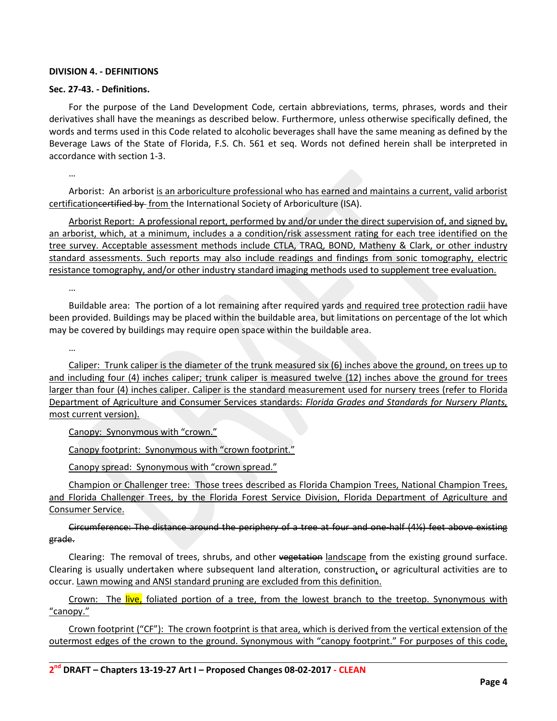### **DIVISION 4. - DEFINITIONS**

#### **Sec. 27-43. - Definitions.**

For the purpose of the Land Development Code, certain abbreviations, terms, phrases, words and their derivatives shall have the meanings as described below. Furthermore, unless otherwise specifically defined, the words and terms used in this Code related to alcoholic beverages shall have the same meaning as defined by the Beverage Laws of the State of Florida, F.S. Ch. 561 et seq. Words not defined herein shall be interpreted in accordance with section 1-3.

…

Arborist: An arborist is an arboriculture professional who has earned and maintains a current, valid arborist certificationcertified by from the International Society of Arboriculture (ISA).

Arborist Report: A professional report, performed by and/or under the direct supervision of, and signed by, an arborist, which, at a minimum, includes a a condition/risk assessment rating for each tree identified on the tree survey. Acceptable assessment methods include CTLA, TRAQ, BOND, Matheny & Clark, or other industry standard assessments. Such reports may also include readings and findings from sonic tomography, electric resistance tomography, and/or other industry standard imaging methods used to supplement tree evaluation.

…

Buildable area: The portion of a lot remaining after required yards and required tree protection radii have been provided. Buildings may be placed within the buildable area, but limitations on percentage of the lot which may be covered by buildings may require open space within the buildable area.

…

Caliper: Trunk caliper is the diameter of the trunk measured six (6) inches above the ground, on trees up to and including four (4) inches caliper; trunk caliper is measured twelve (12) inches above the ground for trees larger than four (4) inches caliper. Caliper is the standard measurement used for nursery trees (refer to Florida Department of Agriculture and Consumer Services standards: *Florida Grades and Standards for Nursery Plants,*  most current version).

Canopy: Synonymous with "crown."

Canopy footprint: Synonymous with "crown footprint."

Canopy spread: Synonymous with "crown spread."

Champion or Challenger tree: Those trees described as Florida Champion Trees, National Champion Trees, and Florida Challenger Trees, by the Florida Forest Service Division, Florida Department of Agriculture and Consumer Service.

Circumference: The distance around the periphery of a tree at four and one-half (4½) feet above existing grade.

Clearing: The removal of trees, shrubs, and other vegetation landscape from the existing ground surface. Clearing is usually undertaken where subsequent land alteration, construction, or agricultural activities are to occur. Lawn mowing and ANSI standard pruning are excluded from this definition.

Crown: The live, foliated portion of a tree, from the lowest branch to the treetop. Synonymous with "canopy."

Crown footprint ("CF"): The crown footprint is that area, which is derived from the vertical extension of the outermost edges of the crown to the ground. Synonymous with "canopy footprint." For purposes of this code,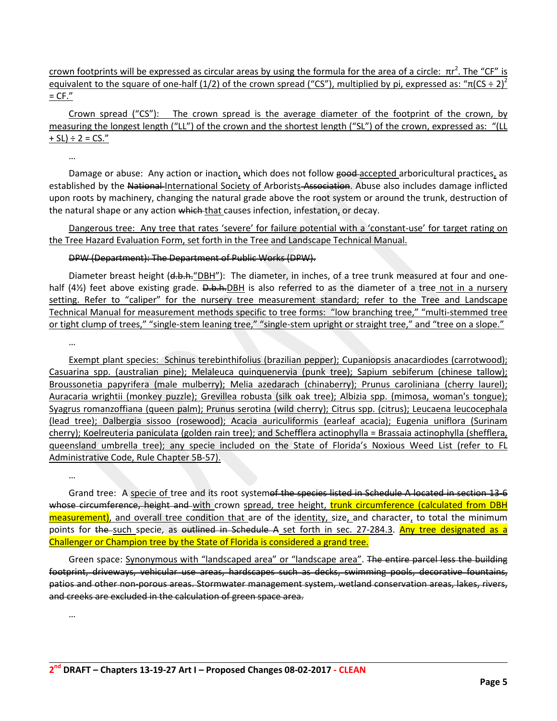crown footprints will be expressed as circular areas by using the formula for the area of a circle:  $πr^2$ . The "CF" is equivalent to the square of one-half (1/2) of the crown spread ("CS"), multiplied by pi, expressed as: " $\pi$ (CS ÷ 2)<sup>2</sup>  $=$  CF."

Crown spread ("CS"): The crown spread is the average diameter of the footprint of the crown, by measuring the longest length ("LL") of the crown and the shortest length ("SL") of the crown, expressed as: "(LL  $+ SL$ ) ÷ 2 = CS."

…

…

…

Damage or abuse: Any action or inaction, which does not follow good accepted arboricultural practices, as established by the National-International Society of Arborists Association. Abuse also includes damage inflicted upon roots by machinery, changing the natural grade above the root system or around the trunk, destruction of the natural shape or any action which that causes infection, infestation, or decay.

Dangerous tree: Any tree that rates 'severe' for failure potential with a 'constant-use' for target rating on the Tree Hazard Evaluation Form, set forth in the Tree and Landscape Technical Manual.

### DPW (Department): The Department of Public Works (DPW).

Diameter breast height (d.b.h. "DBH"): The diameter, in inches, of a tree trunk measured at four and onehalf  $(4/2)$  feet above existing grade. D.b.h.DBH is also referred to as the diameter of a tree not in a nursery setting. Refer to "caliper" for the nursery tree measurement standard; refer to the Tree and Landscape Technical Manual for measurement methods specific to tree forms: "low branching tree," "multi-stemmed tree or tight clump of trees," "single-stem leaning tree," "single-stem upright or straight tree," and "tree on a slope."

Exempt plant species: Schinus terebinthifolius (brazilian pepper); Cupaniopsis anacardiodes (carrotwood); Casuarina spp. (australian pine); Melaleuca quinquenervia (punk tree); Sapium sebiferum (chinese tallow); Broussonetia papyrifera (male mulberry); Melia azedarach (chinaberry); Prunus caroliniana (cherry laurel); Auracaria wrightii (monkey puzzle); Grevillea robusta (silk oak tree); Albizia spp. (mimosa, woman's tongue); Syagrus romanzoffiana (queen palm); Prunus serotina (wild cherry); Citrus spp. (citrus); Leucaena leucocephala (lead tree); Dalbergia sissoo (rosewood); Acacia auriculiformis (earleaf acacia); Eugenia uniflora (Surinam cherry); Koelreuteria paniculata (golden rain tree); and Schefflera actinophylla = Brassaia actinophylla (shefflera, queensland umbrella tree); any specie included on the State of Florida's Noxious Weed List (refer to FL Administrative Code, Rule Chapter 5B-57).

Grand tree: A specie of tree and its root systemof the species listed in Schedule A located in section 13-6 whose circumference, height and with crown spread, tree height, trunk circumference (calculated from DBH measurement), and overall tree condition that are of the identity, size, and character, to total the minimum points for the such specie, as outlined in Schedule A set forth in sec. 27-284.3. Any tree designated as a Challenger or Champion tree by the State of Florida is considered a grand tree.

Green space: Synonymous with "landscaped area" or "landscape area". The entire parcel less the building footprint, driveways, vehicular use areas, hardscapes such as decks, swimming pools, decorative fountains, patios and other non-porous areas. Stormwater management system, wetland conservation areas, lakes, rivers, and creeks are excluded in the calculation of green space area.

…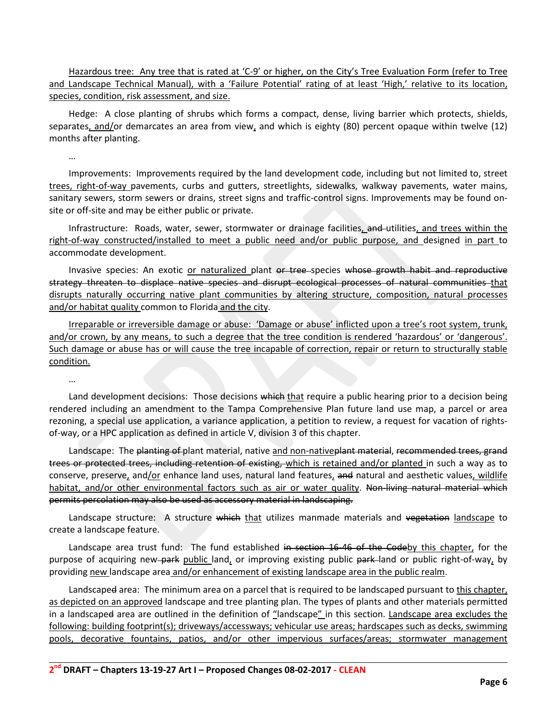Hazardous tree: Any tree that is rated at 'C-9' or higher, on the City's Tree Evaluation Form (refer to Tree and Landscape Technical Manual), with a 'Failure Potential' rating of at least 'High,' relative to its location, species, condition, risk assessment, and size.

Hedge: A close planting of shrubs which forms a compact, dense, living barrier which protects, shields, separates, and/or demarcates an area from view, and which is eighty (80) percent opaque within twelve (12) months after planting.

…

Improvements: Improvements required by the land development code, including but not limited to, street trees, right-of-way pavements, curbs and gutters, streetlights, sidewalks, walkway pavements, water mains, sanitary sewers, storm sewers or drains, street signs and traffic-control signs. Improvements may be found onsite or off-site and may be either public or private.

Infrastructure: Roads, water, sewer, stormwater or drainage facilities, and utilities, and trees within the right-of-way constructed/installed to meet a public need and/or public purpose, and designed in part to accommodate development.

Invasive species: An exotic or naturalized plant or tree species whose growth habit and reproductive strategy threaten to displace native species and disrupt ecological processes of natural communities that disrupts naturally occurring native plant communities by altering structure, composition, natural processes and/or habitat quality common to Florida and the city.

Irreparable or irreversible damage or abuse: 'Damage or abuse' inflicted upon a tree's root system, trunk, and/or crown, by any means, to such a degree that the tree condition is rendered 'hazardous' or 'dangerous'. Such damage or abuse has or will cause the tree incapable of correction, repair or return to structurally stable condition.

…

Land development decisions: Those decisions which that require a public hearing prior to a decision being rendered including an amendment to the Tampa Comprehensive Plan future land use map, a parcel or area rezoning, a special use application, a variance application, a petition to review, a request for vacation of rightsof-way, or a HPC application as defined in article V, division 3 of this chapter.

Landscape: The planting of plant material, native and non-native plant material, recommended trees, grand trees or protected trees, including retention of existing, which is retained and/or planted in such a way as to conserve, preserve, and/or enhance land uses, natural land features, and natural and aesthetic values, wildlife habitat, and/or other environmental factors such as air or water quality. Non-living natural material which permits percolation may also be used as accessory material in landscaping.

Landscape structure: A structure which that utilizes manmade materials and vegetation landscape to create a landscape feature.

Landscape area trust fund: The fund established in section 16-46 of the Codeby this chapter, for the purpose of acquiring new-park public land, or improving existing public park-land or public right-of-way, by providing new landscape area and/or enhancement of existing landscape area in the public realm.

Landscape<del>d</del> area: The minimum area on a parcel that is required to be landscaped pursuant to this chapter, as depicted on an approved landscape and tree planting plan. The types of plants and other materials permitted in a landscaped area are outlined in the definition of "landscape" in this section. Landscape area excludes the following: building footprint(s); driveways/accessways; vehicular use areas; hardscapes such as decks, swimming pools, decorative fountains, patios, and/or other impervious surfaces/areas; stormwater management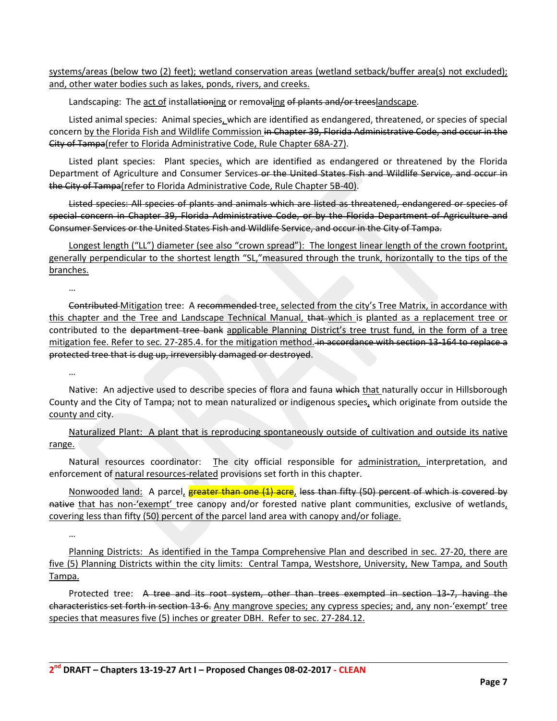systems/areas (below two (2) feet); wetland conservation areas (wetland setback/buffer area(s) not excluded); and, other water bodies such as lakes, ponds, rivers, and creeks.

Landscaping: The act of installationing or removaling of plants and/or treeslandscape.

Listed animal species: Animal species, which are identified as endangered, threatened, or species of special concern by the Florida Fish and Wildlife Commission in Chapter 39, Florida Administrative Code, and occur in the City of Tampa(refer to Florida Administrative Code, Rule Chapter 68A-27).

Listed plant species: Plant species, which are identified as endangered or threatened by the Florida Department of Agriculture and Consumer Services-or the United States Fish and Wildlife Service, and occur in the City of Tampa(refer to Florida Administrative Code, Rule Chapter 5B-40).

Listed species: All species of plants and animals which are listed as threatened, endangered or species of special concern in Chapter 39, Florida Administrative Code, or by the Florida Department of Agriculture and Consumer Services or the United States Fish and Wildlife Service, and occur in the City of Tampa.

Longest length ("LL") diameter (see also "crown spread"): The longest linear length of the crown footprint, generally perpendicular to the shortest length "SL,"measured through the trunk, horizontally to the tips of the branches.

…

…

Contributed Mitigation tree: A recommended tree, selected from the city's Tree Matrix, in accordance with this chapter and the Tree and Landscape Technical Manual, that which is planted as a replacement tree or contributed to the department tree bank applicable Planning District's tree trust fund, in the form of a tree mitigation fee. Refer to sec. 27-285.4. for the mitigation method. in accordance with section 13-164 to replace a protected tree that is dug up, irreversibly damaged or destroyed.

Native: An adjective used to describe species of flora and fauna which that naturally occur in Hillsborough County and the City of Tampa; not to mean naturalized or indigenous species, which originate from outside the county and city.

Naturalized Plant: A plant that is reproducing spontaneously outside of cultivation and outside its native range.

Natural resources coordinator: The city official responsible for administration, interpretation, and enforcement of natural resources-related provisions set forth in this chapter.

Nonwooded land: A parcel, greater than one (1) acre, less than fifty (50) percent of which is covered by native that has non-'exempt' tree canopy and/or forested native plant communities, exclusive of wetlands, covering less than fifty (50) percent of the parcel land area with canopy and/or foliage.

…

Planning Districts: As identified in the Tampa Comprehensive Plan and described in sec. 27-20, there are five (5) Planning Districts within the city limits: Central Tampa, Westshore, University, New Tampa, and South Tampa.

Protected tree: A tree and its root system, other than trees exempted in section 13-7, having the characteristics set forth in section 13-6. Any mangrove species; any cypress species; and, any non-'exempt' tree species that measures five (5) inches or greater DBH. Refer to sec. 27-284.12.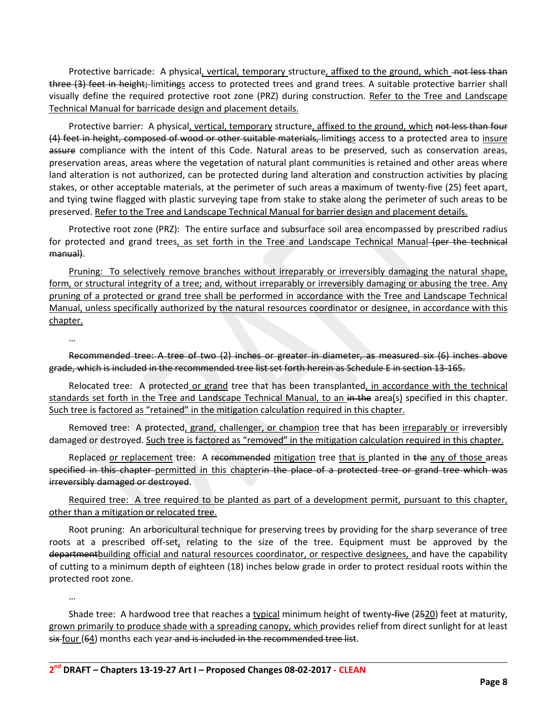Protective barricade: A physical, vertical, temporary structure, affixed to the ground, which not less than three (3) feet in height; limitings access to protected trees and grand trees. A suitable protective barrier shall visually define the required protective root zone (PRZ) during construction. Refer to the Tree and Landscape Technical Manual for barricade design and placement details.

Protective barrier: A physical, vertical, temporary structure, affixed to the ground, which not less than four (4) feet in height, composed of wood or other suitable materials, limitings access to a protected area to insure assure compliance with the intent of this Code. Natural areas to be preserved, such as conservation areas, preservation areas, areas where the vegetation of natural plant communities is retained and other areas where land alteration is not authorized, can be protected during land alteration and construction activities by placing stakes, or other acceptable materials, at the perimeter of such areas a maximum of twenty-five (25) feet apart, and tying twine flagged with plastic surveying tape from stake to stake along the perimeter of such areas to be preserved. Refer to the Tree and Landscape Technical Manual for barrier design and placement details.

Protective root zone (PRZ): The entire surface and subsurface soil area encompassed by prescribed radius for protected and grand trees, as set forth in the Tree and Landscape Technical Manual (per the technical manual).

Pruning: To selectively remove branches without irreparably or irreversibly damaging the natural shape, form, or structural integrity of a tree; and, without irreparably or irreversibly damaging or abusing the tree. Any pruning of a protected or grand tree shall be performed in accordance with the Tree and Landscape Technical Manual, unless specifically authorized by the natural resources coordinator or designee, in accordance with this chapter.

…

Recommended tree: A tree of two (2) inches or greater in diameter, as measured six (6) inches above grade, which is included in the recommended tree list set forth herein as Schedule E in section 13-165.

Relocated tree: A protected or grand tree that has been transplanted, in accordance with the technical standards set forth in the Tree and Landscape Technical Manual, to an in the area(s) specified in this chapter. Such tree is factored as "retained" in the mitigation calculation required in this chapter.

Removed tree: A protected, grand, challenger, or champion tree that has been irreparably or irreversibly damaged or destroyed. Such tree is factored as "removed" in the mitigation calculation required in this chapter.

Replaced or replacement tree: A recommended mitigation tree that is planted in the any of those areas specified in this chapter permitted in this chapterin the place of a protected tree or grand tree which was irreversibly damaged or destroyed.

Required tree: A tree required to be planted as part of a development permit, pursuant to this chapter, other than a mitigation or relocated tree.

Root pruning: An arboricultural technique for preserving trees by providing for the sharp severance of tree roots at a prescribed off-set, relating to the size of the tree. Equipment must be approved by the department building official and natural resources coordinator, or respective designees, and have the capability of cutting to a minimum depth of eighteen (18) inches below grade in order to protect residual roots within the protected root zone.

…

Shade tree: A hardwood tree that reaches a typical minimum height of twenty-five (2520) feet at maturity, grown primarily to produce shade with a spreading canopy, which provides relief from direct sunlight for at least  $s$ ix four (64)</del> months each year and is included in the recommended tree list.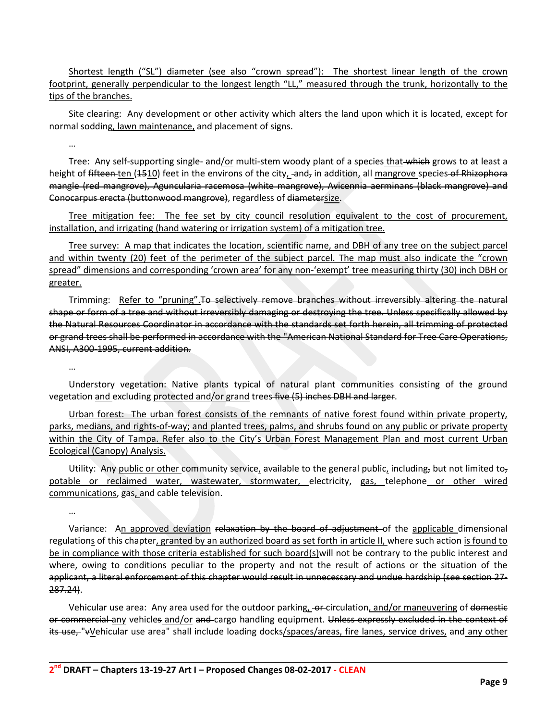Shortest length ("SL") diameter (see also "crown spread"): The shortest linear length of the crown footprint, generally perpendicular to the longest length "LL," measured through the trunk, horizontally to the tips of the branches.

Site clearing: Any development or other activity which alters the land upon which it is located, except for normal sodding, lawn maintenance, and placement of signs.

…

Tree: Any self-supporting single- and/or multi-stem woody plant of a species that which grows to at least a height of fifteen ten  $(1510)$  feet in the environs of the city, and, in addition, all mangrove species of Rhizophora mangle (red mangrove), Aguncularia racemosa (white mangrove), Avicennia aerminans (black mangrove) and Conocarpus erecta (buttonwood mangrove), regardless of diametersize.

Tree mitigation fee: The fee set by city council resolution equivalent to the cost of procurement, installation, and irrigating (hand watering or irrigation system) of a mitigation tree.

Tree survey: A map that indicates the location, scientific name, and DBH of any tree on the subject parcel and within twenty (20) feet of the perimeter of the subject parcel. The map must also indicate the "crown spread" dimensions and corresponding 'crown area' for any non-'exempt' tree measuring thirty (30) inch DBH or greater.

Trimming: Refer to "pruning". To selectively remove branches without irreversibly altering the natural shape or form of a tree and without irreversibly damaging or destroying the tree. Unless specifically allowed by the Natural Resources Coordinator in accordance with the standards set forth herein, all trimming of protected or grand trees shall be performed in accordance with the "American National Standard for Tree Care Operations, ANSI, A300-1995, current addition.

…

Understory vegetation: Native plants typical of natural plant communities consisting of the ground vegetation and excluding protected and/or grand trees five (5) inches DBH and larger.

Urban forest: The urban forest consists of the remnants of native forest found within private property, parks, medians, and rights-of-way; and planted trees, palms, and shrubs found on any public or private property within the City of Tampa. Refer also to the City's Urban Forest Management Plan and most current Urban Ecological (Canopy) Analysis.

Utility: Any public or other community service, available to the general public, including, but not limited to, potable or reclaimed water, wastewater, stormwater, electricity, gas, telephone or other wired communications, gas, and cable television.

…

Variance: An approved deviation relaxation by the board of adjustment of the applicable dimensional regulations of this chapter, granted by an authorized board as set forth in article II, where such action is found to be in compliance with those criteria established for such board(s) will not be contrary to the public interest and where, owing to conditions peculiar to the property and not the result of actions or the situation of the applicant, a literal enforcement of this chapter would result in unnecessary and undue hardship (see section 27- 287.24).

Vehicular use area: Any area used for the outdoor parking, or circulation, and/or maneuvering of domestic or commercial any vehicles and/or and cargo handling equipment. Unless expressly excluded in the context of its use, "vVehicular use area" shall include loading docks/spaces/areas, fire lanes, service drives, and any other